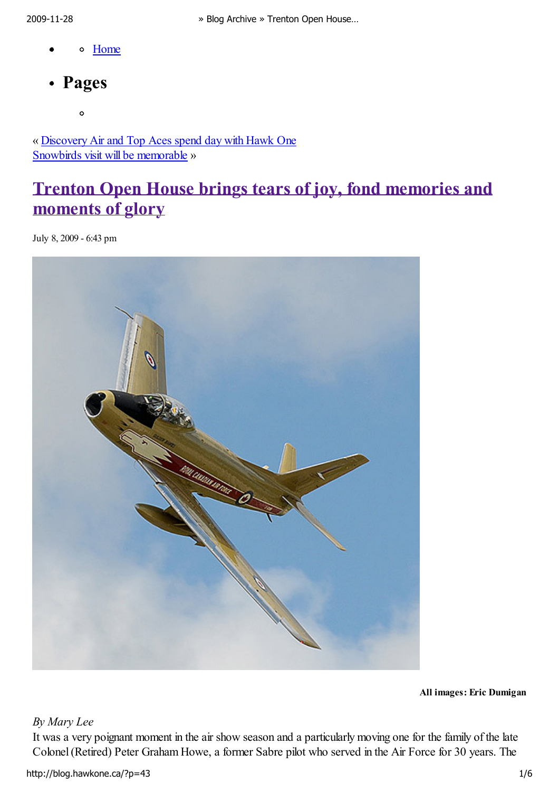- Home
- Pages

 $\circ$ 

« Discovery Air and Top Aces spend day with Hawk One Snowbirds visit will be memorable »

# Trenton Open House brings tears of joy, fond memories and moments of glory

July 8, 2009 - 6:43 pm



All images: Eric Dumigan

## By Mary Lee

It was a very poignant moment in the air show season and a particularly moving one for the family of the late Colonel (Retired) Peter Graham Howe, a former Sabre pilot who served in the Air Force for 30 years. The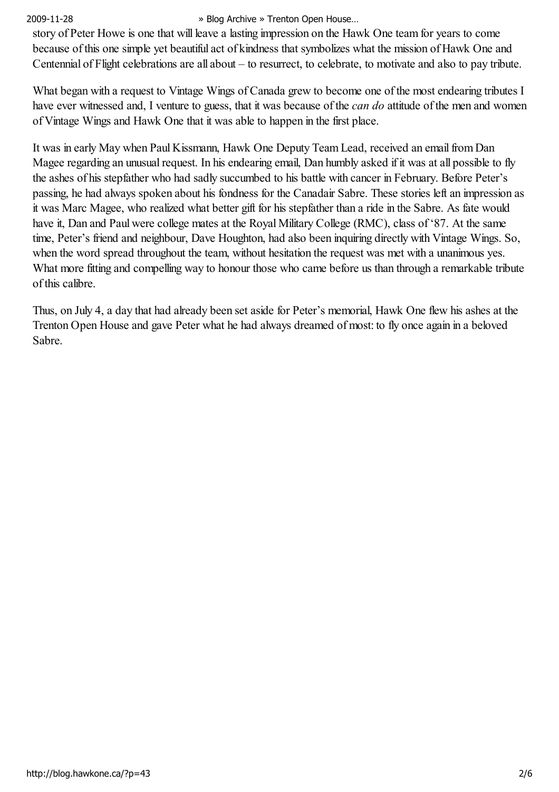story of Peter Howe is one that will leave a lasting impression on the Hawk One team for years to come because of this one simple yet beautiful act of kindness that symbolizes what the mission of Hawk One and Centennial of Flight celebrations are all about – to resurrect, to celebrate, to motivate and also to pay tribute.

What began with a request to Vintage Wings of Canada grew to become one of the most endearing tributes I have ever witnessed and, I venture to guess, that it was because of the *can do* attitude of the men and women of Vintage Wings and Hawk One that it was able to happen in the first place.

It was in early May when Paul Kissmann, Hawk One Deputy Team Lead, received an email from Dan Magee regarding an unusual request. In his endearing email, Dan humbly asked if it was at all possible to fly the ashes of his stepfather who had sadly succumbed to his battle with cancer in February. Before Peter's passing, he had always spoken about his fondness for the Canadair Sabre. These stories left an impression as it was Marc Magee, who realized what better gift for his stepfather than a ride in the Sabre. As fate would have it, Dan and Paul were college mates at the Royal Military College (RMC), class of '87. At the same time, Peter's friend and neighbour, Dave Houghton, had also been inquiring directly with Vintage Wings. So, when the word spread throughout the team, without hesitation the request was met with a unanimous yes. What more fitting and compelling way to honour those who came before us than through a remarkable tribute of this calibre.

Thus, on July 4, a day that had already been set aside for Peter's memorial, Hawk One flew his ashes at the Trenton Open House and gave Peter what he had always dreamed of most: to fly once again in a beloved Sabre.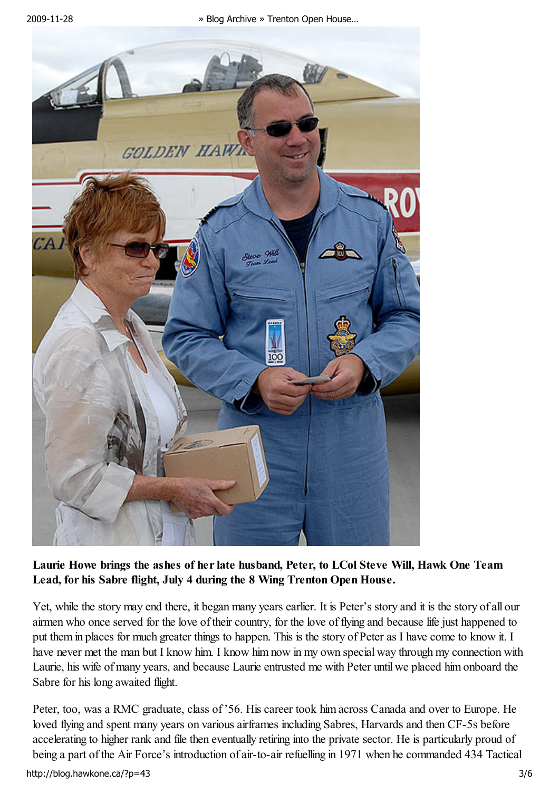

## Laurie Howe brings the ashes of her late husband, Peter, to LCol Steve Will, Hawk One Team Lead, for his Sabre flight, July 4 during the 8 Wing Trenton Open House.

Yet, while the story may end there, it began many years earlier. It is Peter's story and it is the story of all our airmen who once served for the love of their country, for the love of flying and because life just happened to put them in places for much greater things to happen. This is the story of Peter as I have come to know it. I have never met the man but I know him. I know him now in my own special way through my connection with Laurie, his wife of many years, and because Laurie entrusted me with Peter until we placed him onboard the Sabre for his long awaited flight.

Peter, too, was a RMC graduate, class of '56. His career took him across Canada and over to Europe. He loved flying and spent many years on various airframes including Sabres, Harvards and then CF-5s before accelerating to higher rank and file then eventually retiring into the private sector. He is particularly proud of being a part of the Air Force's introduction of air-to-air refuelling in 1971 when he commanded 434 Tactical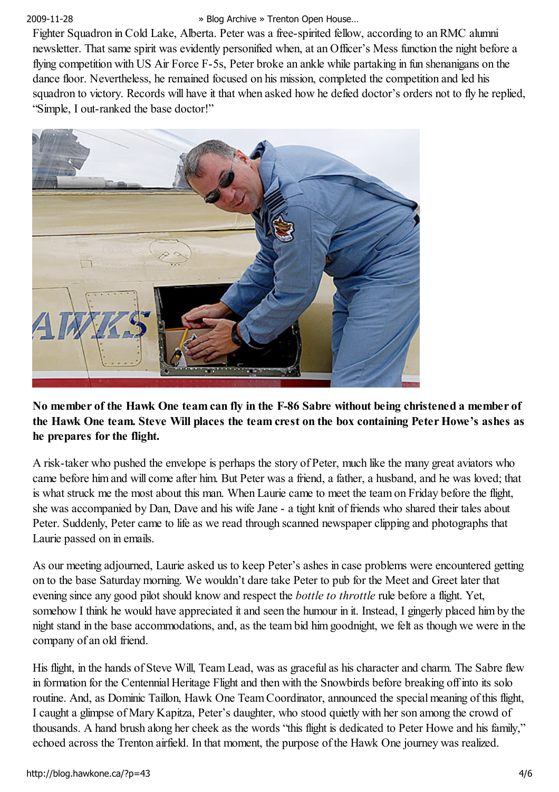Fighter Squadron in Cold Lake, Alberta. Peter was a free-spirited fellow, according to an RMC alumni newsletter. That same spirit was evidently personified when, at an Officer's Mess function the night before a flying competition with US Air Force F-5s, Peter broke an ankle while partaking in fun shenanigans on the dance floor. Nevertheless, he remained focused on his mission, completed the competition and led his squadron to victory. Records will have it that when asked how he defied doctor's orders not to fly he replied, "Simple, I out-ranked the base doctor!"



No member of the Hawk One team can fly in the F-86 Sabre without being christened a member of the Hawk One team. Steve Will places the team crest on the box containing Peter Howe's ashes as he prepares for the flight.

A risk-taker who pushed the envelope is perhaps the story of Peter, much like the many great aviators who came before him and will come after him. But Peter was a friend, a father, a husband, and he was loved; that is what struck me the most about this man. When Laurie came to meet the team on Friday before the flight, she was accompanied by Dan, Dave and his wife Jane - a tight knit of friends who shared their tales about Peter. Suddenly, Peter came to life as we read through scanned newspaper clipping and photographs that Laurie passed on in emails.

As our meeting adjourned, Laurie asked us to keep Peter's ashes in case problems were encountered getting on to the base Saturday morning. We wouldn't dare take Peter to pub for the Meet and Greet later that evening since any good pilot should know and respect the *bottle to throttle* rule before a flight. Yet, somehow I think he would have appreciated it and seen the humour in it. Instead, I gingerly placed him by the night stand in the base accommodations, and, as the team bid him goodnight, we felt as though we were in the company of an old friend.

His flight, in the hands of Steve Will, Team Lead, was as graceful as his character and charm. The Sabre flew in formation for the Centennial Heritage Flight and then with the Snowbirds before breaking off into its solo routine. And, as Dominic Taillon, Hawk One Team Coordinator, announced the special meaning of this flight, I caught a glimpse of Mary Kapitza, Peter's daughter, who stood quietly with her son among the crowd of thousands. A hand brush along her cheek as the words "this flight is dedicated to Peter Howe and his family," echoed across the Trenton airfield. In that moment, the purpose of the Hawk One journey was realized.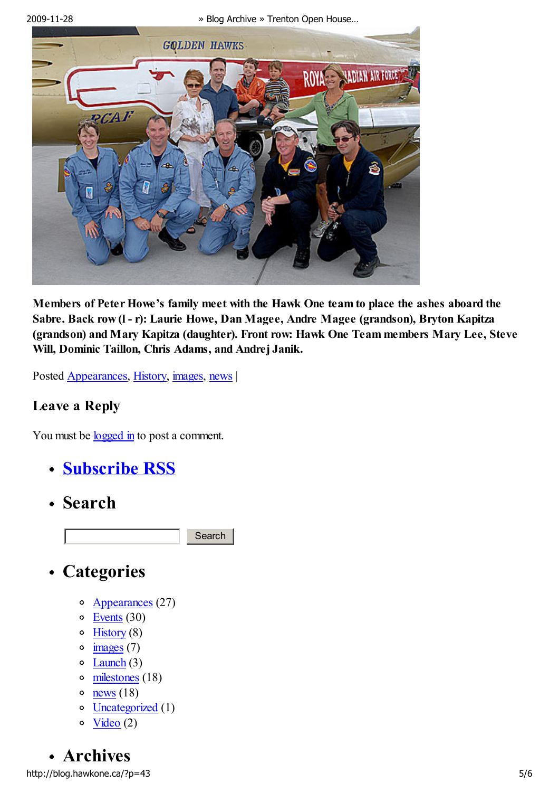

Members of Peter Howe's family meet with the Hawk One team to place the ashes aboard the Sabre. Back row (l - r): Laurie Howe, Dan Magee, Andre Magee (grandson), Bryton Kapitza (grandson) and Mary Kapitza (daughter). Front row: Hawk One Team members Mary Lee, Steve Will, Dominic Taillon, Chris Adams, and Andrej Janik.

Posted Appearances, History, images, news |

## Leave a Reply

You must be <u>logged in</u> to post a comment.

- Subscribe RSS
- Search

**Search** 

- Categories
	- o Appearances (27)
	- Events (30)
	- $\circ$  History (8)
	- $\circ$  images (7)
	- $\circ$  Launch (3)
	- milestones (18)
	- $o$  <u>news</u> (18)
	- Uncategorized (1)  $\circ$
	- Video (2)  $\bullet$

Archives http://blog.hawkone.ca/?p=43 5/6